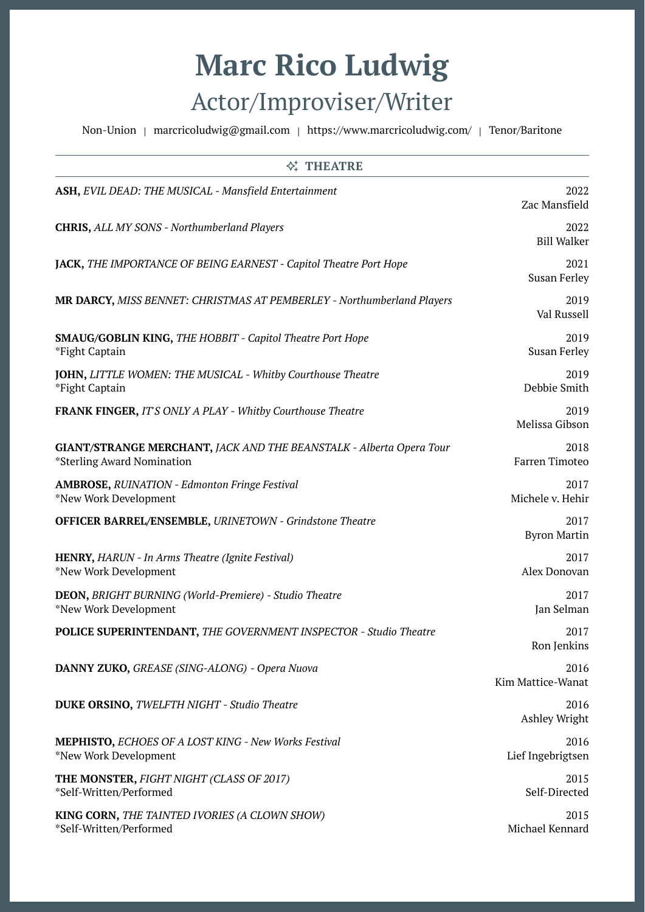## **Marc Rico Ludwig** Actor/Improviser/Writer

Non-Union | [marcricoludwig@gmail.com](mailto:marcricoludwig@gmail.com) | https://www.marcricoludwig.com/ | Tenor/Baritone

| <b>公 THEATRE</b>                                                                                  |                             |  |
|---------------------------------------------------------------------------------------------------|-----------------------------|--|
| ASH, EVIL DEAD: THE MUSICAL - Mansfield Entertainment                                             | 2022<br>Zac Mansfield       |  |
| <b>CHRIS, ALL MY SONS - Northumberland Players</b>                                                | 2022<br><b>Bill Walker</b>  |  |
| JACK, THE IMPORTANCE OF BEING EARNEST - Capitol Theatre Port Hope                                 | 2021<br><b>Susan Ferley</b> |  |
| <b>MR DARCY, MISS BENNET: CHRISTMAS AT PEMBERLEY - Northumberland Players</b>                     | 2019<br>Val Russell         |  |
| <b>SMAUG/GOBLIN KING, THE HOBBIT - Capitol Theatre Port Hope</b><br>*Fight Captain                | 2019<br><b>Susan Ferley</b> |  |
| JOHN, LITTLE WOMEN: THE MUSICAL - Whitby Courthouse Theatre<br>*Fight Captain                     | 2019<br>Debbie Smith        |  |
| <b>FRANK FINGER, IT'S ONLY A PLAY - Whitby Courthouse Theatre</b>                                 | 2019<br>Melissa Gibson      |  |
| GIANT/STRANGE MERCHANT, JACK AND THE BEANSTALK - Alberta Opera Tour<br>*Sterling Award Nomination | 2018<br>Farren Timoteo      |  |
| <b>AMBROSE, RUINATION - Edmonton Fringe Festival</b><br>*New Work Development                     | 2017<br>Michele v. Hehir    |  |
| <b>OFFICER BARREL/ENSEMBLE, URINETOWN - Grindstone Theatre</b>                                    | 2017<br><b>Byron Martin</b> |  |
| HENRY, HARUN - In Arms Theatre (Ignite Festival)<br>*New Work Development                         | 2017<br>Alex Donovan        |  |
| <b>DEON, BRIGHT BURNING (World-Premiere) - Studio Theatre</b><br>*New Work Development            | 2017<br>Jan Selman          |  |
| <b>POLICE SUPERINTENDANT, THE GOVERNMENT INSPECTOR - Studio Theatre</b>                           | 2017<br>Ron Jenkins         |  |
| DANNY ZUKO, GREASE (SING-ALONG) - Opera Nuova                                                     | 2016<br>Kim Mattice-Wanat   |  |
| <b>DUKE ORSINO, TWELFTH NIGHT - Studio Theatre</b>                                                | 2016<br>Ashley Wright       |  |
| <b>MEPHISTO, ECHOES OF A LOST KING - New Works Festival</b><br>*New Work Development              | 2016<br>Lief Ingebrigtsen   |  |
| THE MONSTER, FIGHT NIGHT (CLASS OF 2017)<br>*Self-Written/Performed                               | 2015<br>Self-Directed       |  |
| KING CORN, THE TAINTED IVORIES (A CLOWN SHOW)<br>*Self-Written/Performed                          | 2015<br>Michael Kennard     |  |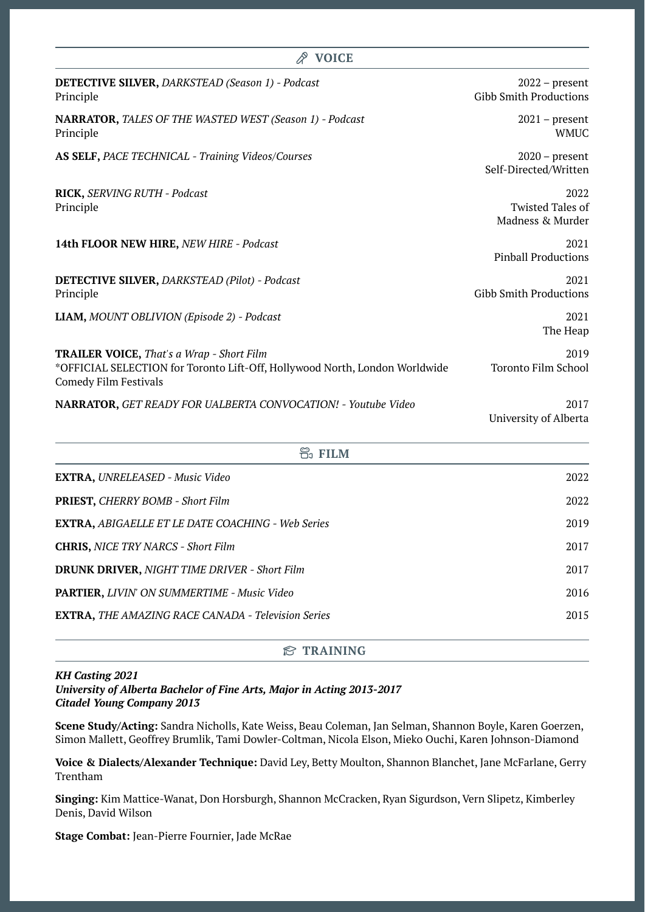| <b>VOICE</b>                                                                                                                                                    |                                                     |
|-----------------------------------------------------------------------------------------------------------------------------------------------------------------|-----------------------------------------------------|
| DETECTIVE SILVER, DARKSTEAD (Season 1) - Podcast<br>Principle                                                                                                   | $2022$ – present<br><b>Gibb Smith Productions</b>   |
| NARRATOR, TALES OF THE WASTED WEST (Season 1) - Podcast<br>Principle                                                                                            | $2021$ – present<br><b>WMUC</b>                     |
| AS SELF, PACE TECHNICAL - Training Videos/Courses                                                                                                               | $2020$ – present<br>Self-Directed/Written           |
| RICK, SERVING RUTH - Podcast<br>Principle                                                                                                                       | 2022<br><b>Twisted Tales of</b><br>Madness & Murder |
| 14th FLOOR NEW HIRE, NEW HIRE - Podcast                                                                                                                         | 2021<br><b>Pinball Productions</b>                  |
| <b>DETECTIVE SILVER, DARKSTEAD (Pilot) - Podcast</b><br>Principle                                                                                               | 2021<br><b>Gibb Smith Productions</b>               |
| LIAM, MOUNT OBLIVION (Episode 2) - Podcast                                                                                                                      | 2021<br>The Heap                                    |
| <b>TRAILER VOICE, That's a Wrap - Short Film</b><br>*OFFICIAL SELECTION for Toronto Lift-Off, Hollywood North, London Worldwide<br><b>Comedy Film Festivals</b> | 2019<br><b>Toronto Film School</b>                  |
| <b>NARRATOR, GET READY FOR UALBERTA CONVOCATION! - Youtube Video</b>                                                                                            | 2017<br>University of Alberta                       |

| <b>FILM</b>                                               |      |
|-----------------------------------------------------------|------|
| <b>EXTRA, UNRELEASED - Music Video</b>                    | 2022 |
| PRIEST, CHERRY BOMB - Short Film                          | 2022 |
| <b>EXTRA, ABIGAELLE ET LE DATE COACHING - Web Series</b>  | 2019 |
| <b>CHRIS, NICE TRY NARCS - Short Film</b>                 | 2017 |
| <b>DRUNK DRIVER, NIGHT TIME DRIVER - Short Film</b>       | 2017 |
| <b>PARTIER, LIVIN' ON SUMMERTIME - Music Video</b>        | 2016 |
| <b>EXTRA, THE AMAZING RACE CANADA - Television Series</b> | 2015 |
|                                                           |      |

## **TRAINING**

## *KH Casting 2021 University of Alberta Bachelor of Fine Arts, Major in Acting 2013-2017 Citadel Young Company 2013*

**Scene Study/Acting:** Sandra Nicholls, Kate Weiss, Beau Coleman, Jan Selman, Shannon Boyle, Karen Goerzen, Simon Mallett, Geoffrey Brumlik, Tami Dowler-Coltman, Nicola Elson, Mieko Ouchi, Karen Johnson-Diamond

**Voice & Dialects/Alexander Technique:** David Ley, Betty Moulton, Shannon Blanchet, Jane McFarlane, Gerry Trentham

**Singing:** Kim Mattice-Wanat, Don Horsburgh, Shannon McCracken, Ryan Sigurdson, Vern Slipetz, Kimberley Denis, David Wilson

**Stage Combat:** Jean-Pierre Fournier, Jade McRae